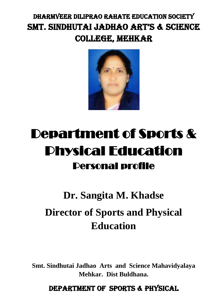# DHARMVEER DILIPRAO RAHATE EDUCATION SOCIETY SMT. SINDHUTAI JADHAO ART'S & SCIENCE COLLEGE, MEHKAR



# Department of Sports & Physical Education Personal profile

# **Dr. Sangita M. Khadse Director of Sports and Physical Education**

**Smt. Sindhutai Jadhao Arts and Science Mahavidyalaya Mehkar. Dist Buldhana.**

DEPARTMENT OF SPORTS & PHYSICAL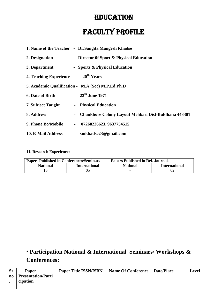# **EDUCATION**

# Faculty Profile

|                                                 |                | 1. Name of the Teacher - Dr.Sangita Mangesh Khadse          |
|-------------------------------------------------|----------------|-------------------------------------------------------------|
| 2. Designation                                  |                | - Director Of Sport & Physical Education                    |
| 3. Department                                   |                | - Sports & Physical Education                               |
| 4. Teaching Experience - 20 <sup>th</sup> Years |                |                                                             |
|                                                 |                | 5. Academic Qualification - M.A (Soc) M.P.Ed Ph.D           |
| <b>6. Date of Birth</b>                         |                | - $23^{th}$ June 1971                                       |
| <b>7. Subject Taught</b>                        | $\blacksquare$ | <b>Physical Education</b>                                   |
| 8. Address                                      |                | <b>Chankhore Colony Layout Mehkar. Dist-Buldhana 443301</b> |
| 9. Phone Bo/Mobile                              | $\blacksquare$ | 07268226623, 9637754515                                     |
| 10. E-Mail Address                              |                | - smkhadse23@gmail.com                                      |

#### **11. Research Experience:**

| <b>Papers Published in Conferences/Seminars</b> |                      | <b>Papers Published in Ref. Journals</b> |                      |
|-------------------------------------------------|----------------------|------------------------------------------|----------------------|
| <b>National</b>                                 | <b>International</b> | <b>National</b>                          | <b>International</b> |
|                                                 |                      | -                                        |                      |

# **\* Participation National & International Seminars/ Workshops & Conferences:**

| Sr. | Paper              | <b>Paper Title ISSN/ISBN</b> | Name Of Conference   Date/Place | Level |
|-----|--------------------|------------------------------|---------------------------------|-------|
| no  | Presentation/Parti |                              |                                 |       |
|     | cipation           |                              |                                 |       |
|     |                    |                              |                                 |       |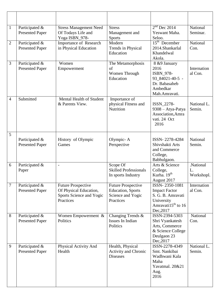| $\mathbf{1}$   | Participated &<br><b>Presented Paper</b> | <b>Stress Management Need</b><br>Of Todays Life and<br>Yoga ISBN_978-                        | <b>Stress</b><br>Management and<br><b>Sports</b>                                         | $2nd$ Dec 2014<br>Yeswant Maha.<br>Seloo.                                                                          | National<br>Seminar.          |
|----------------|------------------------------------------|----------------------------------------------------------------------------------------------|------------------------------------------------------------------------------------------|--------------------------------------------------------------------------------------------------------------------|-------------------------------|
| $\overline{2}$ | Participated &<br><b>Presented Paper</b> | Importance of Research<br>in Physical Education                                              | Modern<br>Trends in Physical<br>Education                                                | $15th$ December<br>2014.Shankarlal<br>Khandelwal<br>Akola.                                                         | National<br>Con.              |
| 3              | Participated &<br><b>Presented Paper</b> | Women<br>Empowerment                                                                         | The Metamorphosis<br>of<br>Women Through<br>Education                                    | 8 &9 January<br>2016<br>ISBN_978-<br>93_84021-40-5 -<br>Dr. Babasaheb<br>Ambedkar<br>Mah.Amravati.                 | Internation<br>al Con.        |
| 4              | Submitted                                | Mental Health of Student<br>& Parents View.                                                  | Importance of<br>physical Fitness and<br>Nutrition                                       | ISSN_2278-<br>9308 - Atya-Patya<br>Association, Amra<br>vati. 24 Oct<br>2016                                       | National L.<br>Semin.         |
| 5              | Participated &<br><b>Presented Paper</b> | History of Olympic<br>Games                                                                  | Olympic-A<br>Perspective                                                                 | ISSN-2278-4284<br>Shivshakti Arts<br>and Commerce<br>College,<br>Babhulgaon.                                       | National<br>Semin.            |
| 6              | Participated &<br>Paper                  | $\overline{a}$                                                                               | Scope Of<br><b>Skilled Professionals</b><br>In sports Industry                           | Arts & Science<br>College,<br>Kurha. 19 <sup>th</sup><br>August 2017                                               | .National<br>L.<br>Workshopl. |
| $\overline{7}$ | Participated &<br><b>Presented Paper</b> | <b>Future Prospective</b><br>Of Physical Education,<br>Sports Science and Yogic<br>Practices | <b>Future Prospective</b><br><b>Education</b> , Sports<br>Science and Yogic<br>Practices | ISSN-2350-1081<br><b>Impact Factor</b><br>S. G. B. Amravati<br>University<br>Amravati $15^{th}$ to 16<br>Dec, 2017 | Internation<br>al Con.        |
| 8              | Participated &<br><b>Presented Paper</b> | Women Empowerment &<br>Politics                                                              | Changing Trends &<br>Issues In Indian<br>Politics                                        | ISSN-2394-5303<br>Shri Vyankatesh<br>Arts, Commerce<br>& Science College<br>Deulgaon 23<br>Dec, 2017               | National<br>Con.              |
| 9              | Participated &<br><b>Presented Paper</b> | Physical Activity And<br>Health                                                              | Health, Physical<br><b>Activity and Chronic</b><br><b>Diseases</b>                       | ISSN-2278-4349<br>Smt. Nankibai<br>Wadhwani Kala<br>Maha<br>Yavatmal. 20&21<br>Aug.<br>2016                        | National L.<br>Semin.         |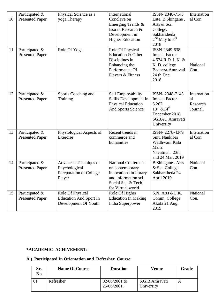| 10<br>11 | Participated &<br><b>Presented Paper</b><br>Participated &<br><b>Presented Paper</b> | Physical Science as a<br>yoga Therapy<br>Role Of Yoga                       | International<br>Conclave on<br>Emerging Trends &<br>Issu in Research &<br>Development in<br><b>Higher Education</b><br>Role Of Physical<br>Education & Other<br>Disciplines in<br>Enhancing the<br>Performance Of<br>Players & Fitness | ISSN-2348-7143<br>Late. B.Shingane.<br>Arts & Sci.<br>College.<br>Sakharkheda<br>$2nd$ May to $8th$<br>2018<br>ISSN-2349-638<br><b>Impact Factor</b><br>4.574 R.D. I. K. &<br>K. D. college<br>Badnera-Amravati<br>24 th Dec.<br>2018 | Internation<br>al Con.<br>National<br>Con. |
|----------|--------------------------------------------------------------------------------------|-----------------------------------------------------------------------------|-----------------------------------------------------------------------------------------------------------------------------------------------------------------------------------------------------------------------------------------|---------------------------------------------------------------------------------------------------------------------------------------------------------------------------------------------------------------------------------------|--------------------------------------------|
| 12       | Participated &<br><b>Presented Paper</b>                                             | Sports Coaching and<br>Training                                             | Self Employability<br>Skills Development in<br>Physical Education<br>And Sports Science                                                                                                                                                 | ISSN-2348-7143<br><b>Impact Factor-</b><br>6.262<br>$13^{th}$ & $14^{th}$<br>December 2018<br><b>SGBAU</b> Amravati<br>University                                                                                                     | Internation<br>al<br>Research<br>Journal.  |
| 13       | Participated &<br><b>Presented Paper</b>                                             | Physiological Aspects of<br>Exercise                                        | Recent trends in<br>commerce and<br>humanities                                                                                                                                                                                          | ISSN-2278-4349<br>Smt. Nankibai<br>Wadhwani Kala<br>Maha<br>Yavatmal. 23th<br>and 24 Mar. 2019                                                                                                                                        | Internation<br>al Con.                     |
| 14       | Participated &<br><b>Presented Paper</b>                                             | Advanced Techniqus of<br>Phychological<br>Pareparation of College<br>Player | <b>National Conference</b><br>on contemporary<br>innovations in library<br>and information sci.<br>Social Sci. & Tech.<br>for Virtual world                                                                                             | <b>B.Shingane</b> . Arts<br>& Sci. College.<br>Sakharkheda 24<br>April 2019                                                                                                                                                           | National<br>Con.                           |
| 15       | Participated &<br><b>Presented Paper</b>                                             | Role Of Physical<br><b>Education And Sport In</b><br>Development Of Youth   | Role Of Higher<br><b>Education In Making</b><br>India Superpower                                                                                                                                                                        | S.N. Arts &U.K.<br>Comm. College<br>Akola 21 Aug.<br>2019                                                                                                                                                                             | National<br>Con.                           |

### **\*ACADEMIC ACHIVEMENT:**

## **A.) Participated In Orientation and Refresher Course:**

| Sr.<br>No | <b>Name Of Course</b> | <b>Duration</b>                | Venue                        | Grade |
|-----------|-----------------------|--------------------------------|------------------------------|-------|
|           | Refresher             | $02/06/2001$ to<br>25/06/2001. | S.G.B.Amravati<br>University |       |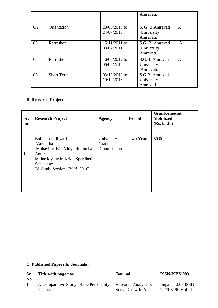|                |                   |                                 | Amravati.                                    |              |
|----------------|-------------------|---------------------------------|----------------------------------------------|--------------|
| O <sub>2</sub> | Orientation       | $28/06/2010$ to<br>24/07/2010.  | S. G. B. Amravati<br>University<br>Amravati. | A            |
| 03             | Refresher         | $15/11/2011$ to<br>03/02/2011.  | S.G. B. Amravati<br>University<br>Amravati.  | $\mathsf{A}$ |
| 04             | Refresher         | 16/07/2012 to<br>$06/08/2012$ . | S.G.B. Amravati<br>University.<br>Amravati.  | A            |
| 05             | <b>Short Term</b> | $03/12/2018$ to<br>10/12/2018   | S.G.B. Amravati<br>University<br>Amravati.   |              |

## **B. Research Project**

| Sr.<br>$\mathbf{n}\mathbf{o}$ | <b>Research Project</b>                                                                                                                                    | <b>Agency</b>                             | <b>Period</b>    | <b>Grant/Amount</b><br><b>Mobilized</b><br>(Rs. lakh.) |
|-------------------------------|------------------------------------------------------------------------------------------------------------------------------------------------------------|-------------------------------------------|------------------|--------------------------------------------------------|
| $\mathbf{1}$                  | Buldhana Jilhyatil<br>Varishtha<br>Mahavidyalyin Vidyarthinincha<br>Antar<br>Mahavidyalayin Krida Spardhetil<br>Sahabhag:<br>"A Study Section" (2005-2010) | University<br><b>Grants</b><br>Commission | <b>Two Years</b> | 80,000                                                 |

## **C. Published Papers In Journals :**

| <b>Sr</b><br>N <sub>0</sub> | Title with page nos.                   | <b>Journal</b>         | <b>ISSN/ISBN NO</b>   |
|-----------------------------|----------------------------------------|------------------------|-----------------------|
|                             | A Comparative Study Of the Personality | Research Analysis $\&$ | $Impact: 2.03$ ISSN - |
|                             | Factors                                | Social Growth. An      | 2229-6190 Vol -11.    |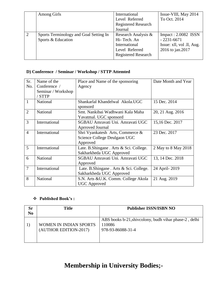|                | <b>Among Girls</b>                     | International              | Issue-VIII, May 2014      |
|----------------|----------------------------------------|----------------------------|---------------------------|
|                |                                        | Level Referred             | To Oct. 2014              |
|                |                                        | <b>Registered Research</b> |                           |
|                |                                        | Journal                    |                           |
| $\overline{2}$ | Sports Terminology and Goal Setting In | Research Analysis &        | $Import: 2.0082$ ISSN     |
|                | Sports & Education                     | Hi-Tech. An                | $-2231 - 6671$            |
|                |                                        | International              | Issue: xll, vol .ll, Aug. |
|                |                                        | Level Referred             | 2016 to jan.2017          |
|                |                                        | <b>Registered Research</b> |                           |
|                |                                        |                            |                           |

## **D) Conference / Seminar / Workshop / STTP Attemted**

| Sr.            | Name of the        | Place and Name of the sponsoring       | Date Month and Year |
|----------------|--------------------|----------------------------------------|---------------------|
| No.            | Conference /       | Agency                                 |                     |
|                | Seminar / Workshop |                                        |                     |
|                | / STTP             |                                        |                     |
| $\mathbf{1}$   | National           | Shankarlal Khandelwal Akola.UGC        | 15 Dec. 2014        |
|                |                    | sponsord                               |                     |
| $\overline{2}$ | National           | Smt. Nankibai Wadhwani Kala Maha       | 20, 21 Aug. 2016    |
|                |                    | Yavatmal. UGC sponsord                 |                     |
| 3              | International      | SGBAU Amravati Uni. Amravati UGC       | 15,16 Dec. 2017     |
|                |                    | Aprroved Journal                       |                     |
| $\overline{4}$ | International      | Shri Vyankatesh Arts, Commerce &       | 23 Dec. 2017        |
|                |                    | Science College Deulgaon UGC           |                     |
|                |                    | Approved                               |                     |
| 5              | International      | Late. B.Shingane. Arts & Sci. College. | 2 May to 8 May 2018 |
|                |                    | Sakharkheda UGC Approved               |                     |
| 6              | National           | SGBAU Amravati Uni. Amravati UGC       | 13, 14 Dec. 2018    |
|                |                    | Approved                               |                     |
| $\overline{7}$ | International      | Late. B.Shingane. Arts & Sci. College. | 24 April-2019       |
|                |                    | Sakharkheda UGC Approved               |                     |
| 8              | National           | S.N. Arts & U.K. Comm. College Akola   | 21 Aug. 2019        |
|                |                    | <b>UGC</b> Approved                    |                     |

### **Published Book's :**

| Sr<br>N <sub>0</sub> | Title                                           | <b>Publisher ISSN/ISBN NO</b>                                                        |
|----------------------|-------------------------------------------------|--------------------------------------------------------------------------------------|
|                      | WOMEN IN INDIAN SPORTS<br>(AUTHOR EDITION-2017) | ABS books b-21, shiveolony, budh vihar phase-2, delhi<br>110086<br>978-93-86088-31-4 |

# **Membership in University Bodies;-**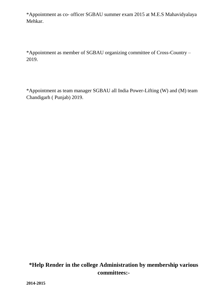\*Appointment as co- officer SGBAU summer exam 2015 at M.E.S Mahavidyalaya Mehkar.

\*Appointment as member of SGBAU organizing committee of Cross-Country – 2019.

\*Appointment as team manager SGBAU all India Power-Lifting (W) and (M) team Chandigarh ( Punjab) 2019.

# **\*Help Render in the college Administration by membership various committees:-**

**2014-2015**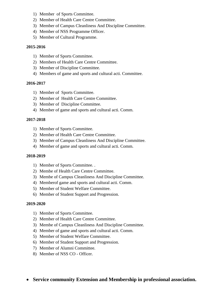- 1) Member of Sports Committee.
- 2) Member of Health Care Centre Committee.
- 3) Member of Campus Cleanliness And Discipline Committee.
- 4) Member of NSS Programme Officer.
- 5) Member of Cultural Programme.

#### **2015-2016**

- 1) Member of Sports Committee.
- 2) Members of Health Care Centre Committee.
- 3) Member of Discipline Committee.
- 4) Members of game and sports and cultural acti. Committee.

#### **2016-2017**

- 1) Member of Sports Committee.
- 2) Member of Health Care Centre Committee.
- 3) Member of Discipline Committee.
- 4) Member of game and sports and cultural acti. Comm.

#### **2017-2018**

- 1) Member of Sports Committee.
- 2) Member of Health Care Centre Committee.
- 3) Member of Campus Cleanliness And Discipline Committee.
- 4) Member of game and sports and cultural acti. Comm.

#### **2018-2019**

- 1) Member of Sports Committee. .
- 2) Membe of Health Care Centre Committee.
- 3) Membe of Campus Cleanliness And Discipline Committee.
- 4) Memberof game and sports and cultural acti. Comm.
- 5) Member of Student Welfare Committee.
- 6) Member of Student Support and Progression.

#### **2019-2020**

- 1) Member of Sports Committee.
- 2) Member of Health Care Centre Committee.
- 3) Membe of Campus Cleanliness And Discipline Committee.
- 4) Member of game and sports and cultural acti. Comm.
- 5) Member of Student Welfare Committee.
- 6) Member of Student Support and Progression.
- 7) Member of Alumni Committee.
- 8) Member of NSS CO Officer.
- **Service community Extension and Membership in professional association.**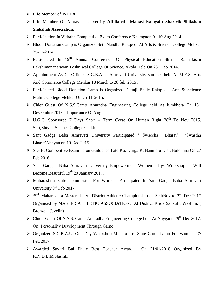- Life Member of **NUTA.**
- Life Member Of Amravati University **Affiliated Mahavidyalayain Sharirik Shikshan Shikshak Association.**
- > Participation In Vidrabh Competitive Exam Conference Khamgaon  $9<sup>th</sup>$  10 Aug 2014.
- ▶ Blood Donation Camp is Organized Seth Nandlal Raktpedi At Arts & Science College Mehkar 25-11-2014.
- $\triangleright$  Participated In 19<sup>th</sup> Annual Conference Of Physical Education Shri , Radhakisan Lakshimananarayan Toshniwal College Of Science, Akola Held On 23<sup>rd</sup> Feb 2014.
- Appointment As Co-Officer S.G.B.A.U. Amravati University summer held At M.E.S. Arts And Commerce College Mehkar 18 March to 28 feb 2015 .
- Participated Blood Donation Camp is Organized Dattaji Bhale Raktpedi Arts & Science Mahila College Mehkar On 25-11-2015.
- $\triangleright$  Chief Guest Of N.S.S.Camp Anuradha Engineering College held At Jumbhora On 16<sup>th</sup> Descember 2015 – Importance Of Yoga.
- $\triangleright$  U.G.C. Sponsored 7 Days Short Term Corse On Human Right 28<sup>th</sup> To Nov 2015. Shri,Shivaji Science College Chikhli.
- Sant Gadge Baba Amravati University Participated " Swaccha Bharat" "Swastha Bharat"Abhyan on 10 Dec 2015.
- S.G.B. Competitive Examinaion Guildance Late Ku. Durga K. Banmeru Dist. Buldhana On 27 Feb 2016.
- Sant Gadge Baba Amravati University Empowerment Women 2days Workshop "I Will Become Beautiful 19<sup>th</sup> 20 January 2017.
- Maharashtra State Commission For Women -Participated In Sant Gadge Baba Amravati University  $9<sup>th</sup>$  Feb 2017.
- $>$  39<sup>th</sup> Maharashtra Masters Inter –District Athletic Championship on 30thNov to 2<sup>nd</sup> Dec 2017 Organised by MASTER ATHLETIC ASSOCIATION, At District Krida Sankul , Washim. ( Bronze – Javelin)
- $\triangleright$  Chief Guest Of N.S.S. Camp Anuradha Engineering College held At Naygaon 29<sup>th</sup> Dec 2017. On 'Personality Development Through Game'.
- Organized S.G.B.A.U. One Day Workshop Maharashtra State Commission For Women 27/ Feb/2017.
- Awarded Savitri Bai Phule Best Teacher Award On 21/01/2018 Organized By K.N.D.B.M.Nashik.